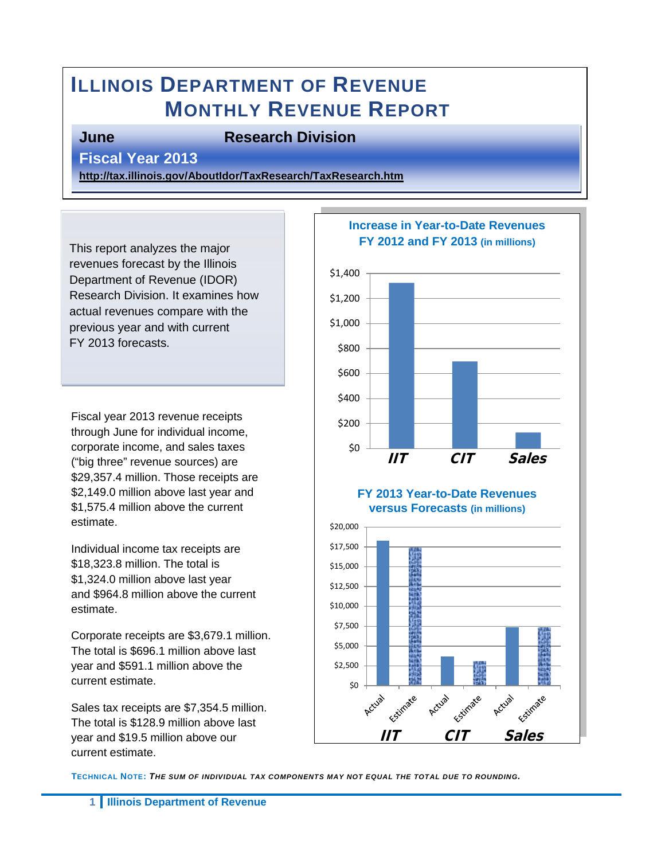# **ILLINOIS DEPARTMENT OF REVENUE MONTHLY REVENUE REPORT**

#### **June Research Division**

**Fiscal Year 2013** 

**<http://tax.illinois.gov/AboutIdor/TaxResearch/TaxResearch.htm>**

This report analyzes the major revenues forecast by the Illinois Department of Revenue (IDOR) Research Division. It examines how actual revenues compare with the previous year and with current FY 2013 forecasts.

Fiscal year 2013 revenue receipts through June for individual income, corporate income, and sales taxes ("big three" revenue sources) are \$29,357.4 million. Those receipts are \$2,149.0 million above last year and \$1,575.4 million above the current estimate.

Individual income tax receipts are \$18,323.8 million. The total is \$1,324.0 million above last year and \$964.8 million above the current estimate.

Corporate receipts are \$3,679.1 million. The total is \$696.1 million above last year and \$591.1 million above the current estimate.

Sales tax receipts are \$7,354.5 million. The total is \$128.9 million above last year and \$19.5 million above our current estimate.



**TECHNICAL NOTE:** *THE SUM OF INDIVIDUAL TAX COMPONENTS MAY NOT EQUAL THE TOTAL DUE TO ROUNDING.*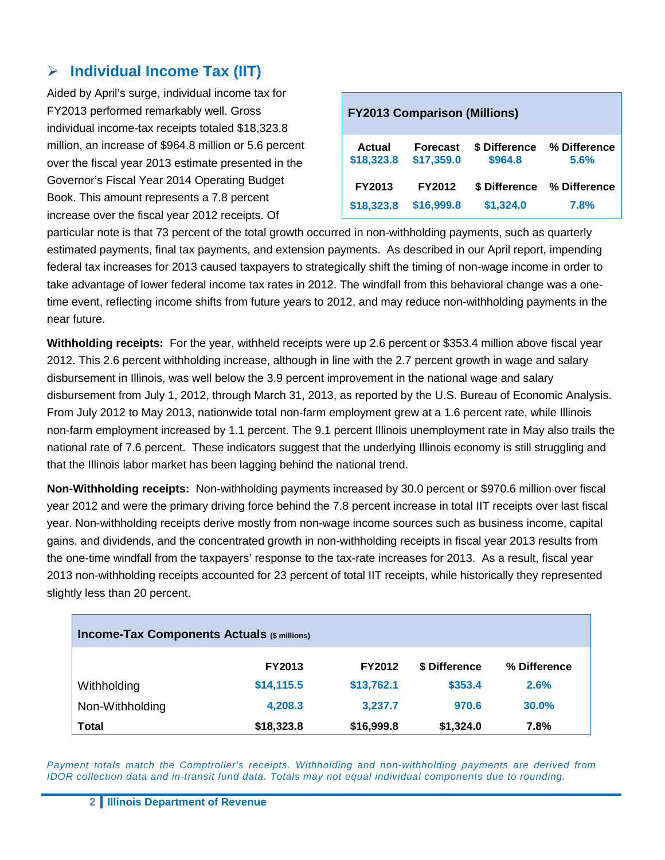#### **Individual Income Tax (IIT)**

Aided by April's surge, individual income tax for FY2013 performed remarkably well. Gross individual income-tax receipts totaled \$18,323.8 million, an increase of \$964.8 million or 5.6 percent over the fiscal year 2013 estimate presented in the Governor's Fiscal Year 2014 Operating Budget Book. This amount represents a 7.8 percent increase over the fiscal year 2012 receipts. Of

| <b>FY2013 Comparison (Millions)</b> |                               |                          |                      |  |  |  |  |
|-------------------------------------|-------------------------------|--------------------------|----------------------|--|--|--|--|
| <b>Actual</b><br>\$18,323.8         | <b>Forecast</b><br>\$17,359.0 | \$ Difference<br>\$964.8 | % Difference<br>5.6% |  |  |  |  |
| <b>FY2013</b>                       | FY2012                        | \$ Difference            | % Difference         |  |  |  |  |
| \$18,323.8                          | \$16,999.8                    | \$1,324.0                | 7.8%                 |  |  |  |  |

particular note is that 73 percent of the total growth occurred in non-withholding payments, such as quarterly estimated payments, final tax payments, and extension payments. As described in our April report, impending federal tax increases for 2013 caused taxpayers to strategically shift the timing of non-wage income in order to take advantage of lower federal income tax rates in 2012. The windfall from this behavioral change was a onetime event, reflecting income shifts from future years to 2012, and may reduce non-withholding payments in the near future.

**Withholding receipts:** For the year, withheld receipts were up 2.6 percent or \$353.4 million above fiscal year 2012. This 2.6 percent withholding increase, although in line with the 2.7 percent growth in wage and salary disbursement in Illinois, was well below the 3.9 percent improvement in the national wage and salary disbursement from July 1, 2012, through March 31, 2013, as reported by the U.S. Bureau of Economic Analysis. From July 2012 to May 2013, nationwide total non-farm employment grew at a 1.6 percent rate, while Illinois non-farm employment increased by 1.1 percent. The 9.1 percent Illinois unemployment rate in May also trails the national rate of 7.6 percent. These indicators suggest that the underlying Illinois economy is still struggling and that the Illinois labor market has been lagging behind the national trend.

**Non-Withholding receipts:** Non-withholding payments increased by 30.0 percent or \$970.6 million over fiscal year 2012 and were the primary driving force behind the 7.8 percent increase in total IIT receipts over last fiscal year. Non-withholding receipts derive mostly from non-wage income sources such as business income, capital gains, and dividends, and the concentrated growth in non-withholding receipts in fiscal year 2013 results from the one-time windfall from the taxpayers' response to the tax-rate increases for 2013. As a result, fiscal year 2013 non-withholding receipts accounted for 23 percent of total IIT receipts, while historically they represented slightly less than 20 percent.

| <b>Income-Tax Components Actuals (\$ millions)</b> |               |               |               |              |  |  |  |
|----------------------------------------------------|---------------|---------------|---------------|--------------|--|--|--|
|                                                    | <b>FY2013</b> | <b>FY2012</b> | \$ Difference | % Difference |  |  |  |
| Withholding                                        | \$14,115.5    | \$13,762.1    | \$353.4       | 2.6%         |  |  |  |
| Non-Withholding                                    | 4,208.3       | 3,237.7       | 970.6         | $30.0\%$     |  |  |  |
| Total                                              | \$18,323.8    | \$16,999.8    | \$1,324.0     | 7.8%         |  |  |  |

*Payment totals match the Comptroller's receipts. Withholding and non-withholding payments are derived from IDOR collection data and in-transit fund data. Totals may not equal individual components due to rounding.*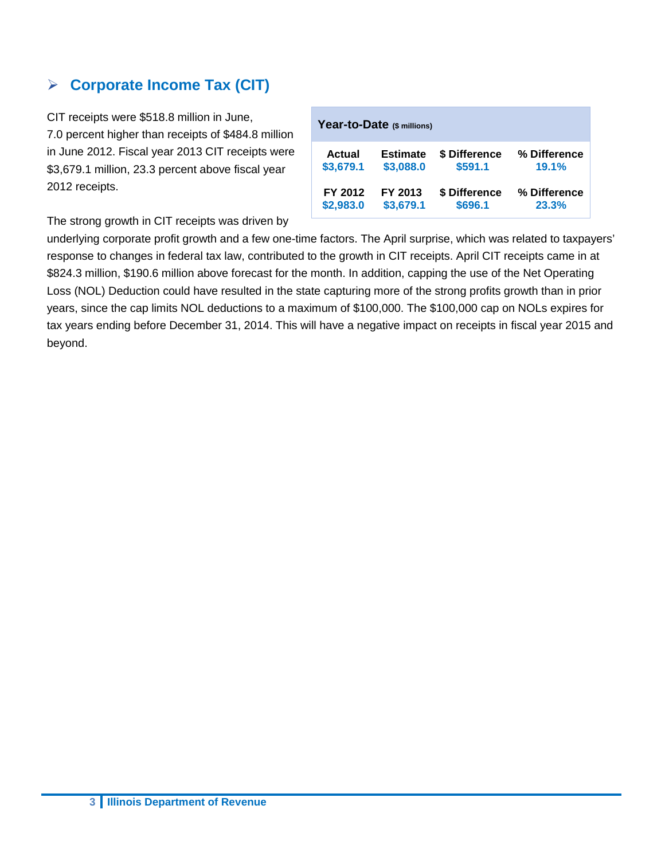#### **Corporate Income Tax (CIT)**

CIT receipts were \$518.8 million in June, 7.0 percent higher than receipts of \$484.8 million in June 2012. Fiscal year 2013 CIT receipts were \$3,679.1 million, 23.3 percent above fiscal year 2012 receipts.

|           | Year-to-Date (\$ millions) |               |              |  |  |  |  |
|-----------|----------------------------|---------------|--------------|--|--|--|--|
| Actual    | <b>Estimate</b>            | \$ Difference | % Difference |  |  |  |  |
| \$3,679.1 | \$3,088.0                  | \$591.1       | 19.1%        |  |  |  |  |
| FY 2012   | FY 2013                    | \$ Difference | % Difference |  |  |  |  |
| \$2,983.0 | \$3,679.1                  | \$696.1       | 23.3%        |  |  |  |  |

The strong growth in CIT receipts was driven by

underlying corporate profit growth and a few one-time factors. The April surprise, which was related to taxpayers' response to changes in federal tax law, contributed to the growth in CIT receipts. April CIT receipts came in at \$824.3 million, \$190.6 million above forecast for the month. In addition, capping the use of the Net Operating Loss (NOL) Deduction could have resulted in the state capturing more of the strong profits growth than in prior years, since the cap limits NOL deductions to a maximum of \$100,000. The \$100,000 cap on NOLs expires for tax years ending before December 31, 2014. This will have a negative impact on receipts in fiscal year 2015 and beyond.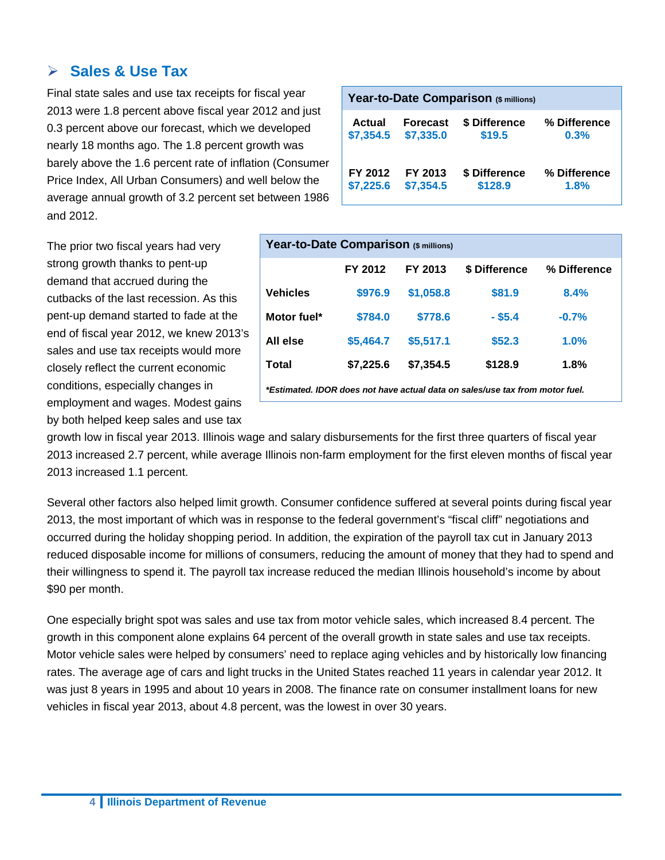#### **Sales & Use Tax**

Final state sales and use tax receipts for fiscal year 2013 were 1.8 percent above fiscal year 2012 and just 0.3 percent above our forecast, which we developed nearly 18 months ago. The 1.8 percent growth was barely above the 1.6 percent rate of inflation (Consumer Price Index, All Urban Consumers) and well below the average annual growth of 3.2 percent set between 1986 and 2012.

| Year-to-Date Comparison (\$ millions) |                 |               |              |  |  |  |
|---------------------------------------|-----------------|---------------|--------------|--|--|--|
| <b>Actual</b>                         | <b>Forecast</b> | % Difference  |              |  |  |  |
| \$7,354.5                             | \$7,335.0       | 0.3%          |              |  |  |  |
| FY 2012                               | FY 2013         | \$ Difference | % Difference |  |  |  |
| \$7,225.6                             | \$7,354.5       | \$128.9       | 1.8%         |  |  |  |

The prior two fiscal years had very strong growth thanks to pent-up demand that accrued during the cutbacks of the last recession. As this pent-up demand started to fade at the end of fiscal year 2012, we knew 2013's sales and use tax receipts would more closely reflect the current economic conditions, especially changes in employment and wages. Modest gains by both helped keep sales and use tax

| Year-to-Date Comparison (\$ millions)                                        |           |           |               |              |  |  |  |  |
|------------------------------------------------------------------------------|-----------|-----------|---------------|--------------|--|--|--|--|
|                                                                              | FY 2012   | FY 2013   | \$ Difference | % Difference |  |  |  |  |
| Vehicles                                                                     | \$976.9   | \$1,058.8 | \$81.9        | 8.4%         |  |  |  |  |
| Motor fuel*                                                                  | \$784.0   | \$778.6   | $-$ \$5.4     | $-0.7%$      |  |  |  |  |
| All else                                                                     | \$5,464.7 | \$5,517.1 | \$52.3        | 1.0%         |  |  |  |  |
| Total                                                                        | \$7,225.6 | \$7,354.5 | \$128.9       | 1.8%         |  |  |  |  |
| *Estimated. IDOR does not have actual data on sales/use tax from motor fuel. |           |           |               |              |  |  |  |  |

growth low in fiscal year 2013. Illinois wage and salary disbursements for the first three quarters of fiscal year 2013 increased 2.7 percent, while average Illinois non-farm employment for the first eleven months of fiscal year 2013 increased 1.1 percent.

Several other factors also helped limit growth. Consumer confidence suffered at several points during fiscal year 2013, the most important of which was in response to the federal government's "fiscal cliff" negotiations and occurred during the holiday shopping period. In addition, the expiration of the payroll tax cut in January 2013 reduced disposable income for millions of consumers, reducing the amount of money that they had to spend and their willingness to spend it. The payroll tax increase reduced the median Illinois household's income by about \$90 per month.

One especially bright spot was sales and use tax from motor vehicle sales, which increased 8.4 percent. The growth in this component alone explains 64 percent of the overall growth in state sales and use tax receipts. Motor vehicle sales were helped by consumers' need to replace aging vehicles and by historically low financing rates. The average age of cars and light trucks in the United States reached 11 years in calendar year 2012. It was just 8 years in 1995 and about 10 years in 2008. The finance rate on consumer installment loans for new vehicles in fiscal year 2013, about 4.8 percent, was the lowest in over 30 years.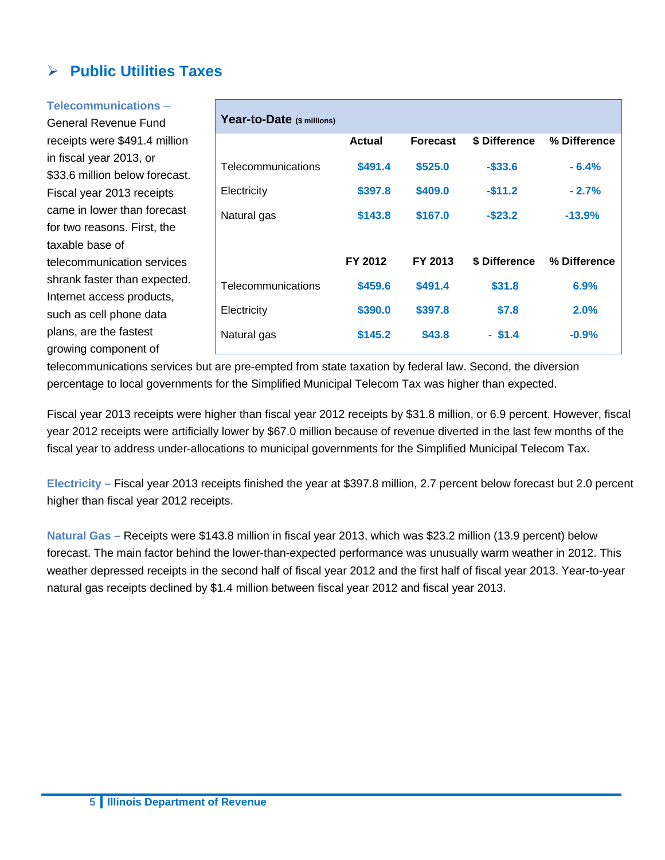## **Public Utilities Taxes**

#### **Telecommunications** –

General Revenue Fund receipts were \$491.4 million in fiscal year 2013, or \$33.6 million below forecast. Fiscal year 2013 receipts came in lower than forecast for two reasons. First, the taxable base of telecommunication services shrank faster than expected. Internet access products, such as cell phone data plans, are the fastest growing component of

| <b>Actual</b> | <b>Forecast</b> | \$ Difference | % Difference |
|---------------|-----------------|---------------|--------------|
| \$491.4       | \$525.0         | $-$ \$33.6    | $-6.4%$      |
| \$397.8       | \$409.0         | $-$11.2$      | $-2.7%$      |
| \$143.8       | \$167.0         | $-$ \$23.2    | $-13.9%$     |
|               |                 |               |              |
| FY 2012       | FY 2013         | \$ Difference | % Difference |
| \$459.6       | \$491.4         | \$31.8        | 6.9%         |
| \$390.0       | \$397.8         | \$7.8         | 2.0%         |
| \$145.2       | \$43.8          | $-$ \$1.4     | $-0.9%$      |
|               |                 |               |              |

telecommunications services but are pre-empted from state taxation by federal law. Second, the diversion percentage to local governments for the Simplified Municipal Telecom Tax was higher than expected.

Fiscal year 2013 receipts were higher than fiscal year 2012 receipts by \$31.8 million, or 6.9 percent. However, fiscal year 2012 receipts were artificially lower by \$67.0 million because of revenue diverted in the last few months of the fiscal year to address under-allocations to municipal governments for the Simplified Municipal Telecom Tax.

**Electricity –** Fiscal year 2013 receipts finished the year at \$397.8 million, 2.7 percent below forecast but 2.0 percent higher than fiscal year 2012 receipts.

**Natural Gas –** Receipts were \$143.8 million in fiscal year 2013, which was \$23.2 million (13.9 percent) below forecast. The main factor behind the lower-than-expected performance was unusually warm weather in 2012. This weather depressed receipts in the second half of fiscal year 2012 and the first half of fiscal year 2013. Year-to-year natural gas receipts declined by \$1.4 million between fiscal year 2012 and fiscal year 2013.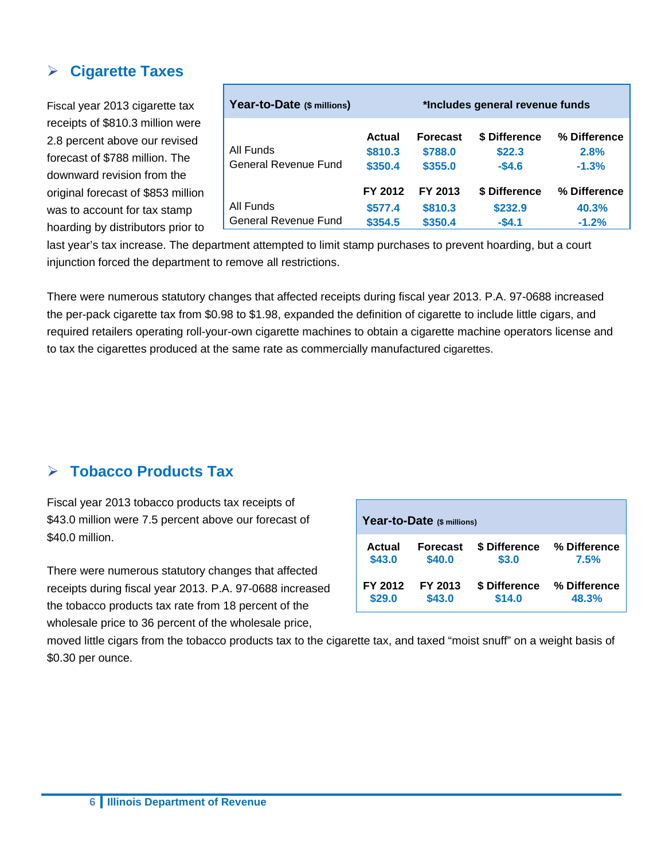#### **Cigarette Taxes**

Fiscal year 2013 cigarette tax receipts of \$810.3 million were 2.8 percent above our revised forecast of \$788 million. The downward revision from the original forecast of \$853 million was to account for tax stamp hoarding by distributors prior to

| Year-to-Date (\$ millions)               |                               |                                       | *Includes general revenue funds     |                                  |
|------------------------------------------|-------------------------------|---------------------------------------|-------------------------------------|----------------------------------|
| All Funds<br>General Revenue Fund        | Actual<br>\$810.3<br>\$350.4  | <b>Forecast</b><br>\$788.0<br>\$355.0 | \$ Difference<br>\$22.3<br>$-$4.6$  | % Difference<br>2.8%<br>$-1.3%$  |
| All Funds<br><b>General Revenue Fund</b> | FY 2012<br>\$577.4<br>\$354.5 | FY 2013<br>\$810.3<br>\$350.4         | \$ Difference<br>\$232.9<br>$-$4.1$ | % Difference<br>40.3%<br>$-1.2%$ |

last year's tax increase. The department attempted to limit stamp purchases to prevent hoarding, but a court injunction forced the department to remove all restrictions.

There were numerous statutory changes that affected receipts during fiscal year 2013. P.A. 97-0688 increased the per-pack cigarette tax from \$0.98 to \$1.98, expanded the definition of cigarette to include little cigars, and required retailers operating roll-your-own cigarette machines to obtain a cigarette machine operators license and to tax the cigarettes produced at the same rate as commercially manufactured cigarettes.

#### **Tobacco Products Tax**

Fiscal year 2013 tobacco products tax receipts of \$43.0 million were 7.5 percent above our forecast of \$40.0 million.

There were numerous statutory changes that affected receipts during fiscal year 2013. P.A. 97-0688 increased the tobacco products tax rate from 18 percent of the wholesale price to 36 percent of the wholesale price,

| Year-to-Date (\$ millions) |                 |               |              |  |  |  |  |
|----------------------------|-----------------|---------------|--------------|--|--|--|--|
| Actual                     | <b>Forecast</b> | \$ Difference | % Difference |  |  |  |  |
| \$43.0                     | \$40.0          | \$3.0         | 7.5%         |  |  |  |  |
| FY 2012                    | FY 2013         | \$ Difference | % Difference |  |  |  |  |
| \$29.0                     | \$43.0          | \$14.0        | 48.3%        |  |  |  |  |

moved little cigars from the tobacco products tax to the cigarette tax, and taxed "moist snuff" on a weight basis of \$0.30 per ounce.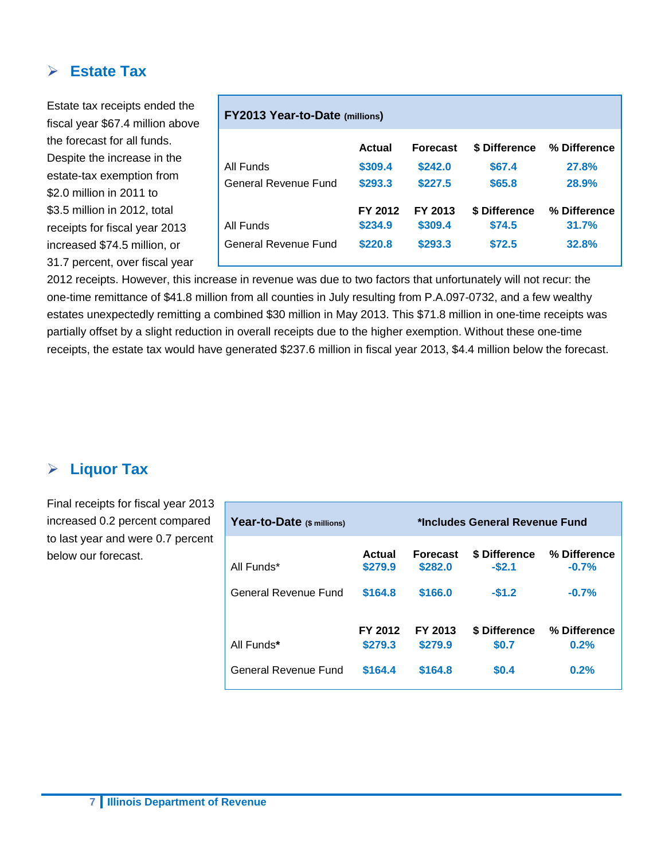#### **Estate Tax**

Estate tax receipts ended the fiscal year \$67.4 million above the forecast for all funds. Despite the increase in the estate-tax exemption from \$2.0 million in 2011 to \$3.5 million in 2012, total receipts for fiscal year 2013 increased \$74.5 million, or 31.7 percent, over fiscal year

| <b>FY2013 Year-to-Date (millions)</b> |         |                 |               |              |  |  |
|---------------------------------------|---------|-----------------|---------------|--------------|--|--|
|                                       | Actual  | <b>Forecast</b> | \$ Difference | % Difference |  |  |
| All Funds                             | \$309.4 | \$242.0         | \$67.4        | 27.8%        |  |  |
| General Revenue Fund                  | \$293.3 | \$227.5         | \$65.8        | 28.9%        |  |  |
|                                       | FY 2012 | FY 2013         | \$ Difference | % Difference |  |  |
| All Funds                             | \$234.9 | \$309.4         | \$74.5        | 31.7%        |  |  |
| General Revenue Fund                  | \$220.8 | \$293.3         | \$72.5        | 32.8%        |  |  |

2012 receipts. However, this increase in revenue was due to two factors that unfortunately will not recur: the one-time remittance of \$41.8 million from all counties in July resulting from P.A.097-0732, and a few wealthy estates unexpectedly remitting a combined \$30 million in May 2013. This \$71.8 million in one-time receipts was partially offset by a slight reduction in overall receipts due to the higher exemption. Without these one-time receipts, the estate tax would have generated \$237.6 million in fiscal year 2013, \$4.4 million below the forecast.

#### **Liquor Tax**

Final receipts for fiscal year 2013 increased 0.2 percent compared to last year and were 0.7 percent below our forecast.

| Year-to-Date (\$ millions)<br>*Includes General Revenue Fund |                    |                            |                          |                         |
|--------------------------------------------------------------|--------------------|----------------------------|--------------------------|-------------------------|
| All Funds*                                                   | Actual<br>\$279.9  | <b>Forecast</b><br>\$282.0 | \$ Difference<br>$-52.1$ | % Difference<br>$-0.7%$ |
| General Revenue Fund                                         | \$164.8            | \$166.0                    | $-$1.2$                  | $-0.7%$                 |
| All Funds*                                                   | FY 2012<br>\$279.3 | FY 2013<br>\$279.9         | \$ Difference<br>\$0.7   | % Difference<br>0.2%    |
| General Revenue Fund                                         | \$164.4            | \$164.8                    | \$0.4                    | 0.2%                    |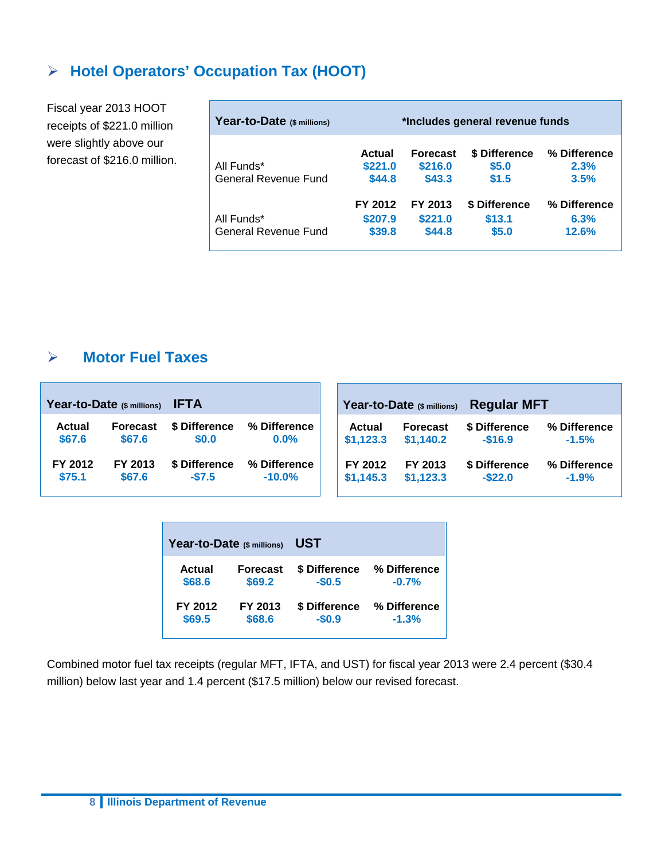#### **Hotel Operators' Occupation Tax (HOOT)**

Fiscal year 2013 HOOT receipts of \$221.0 million were slightly above our forecast of \$216.0 million.

| Year-to-Date (\$ millions)         |                              | *Includes general revenue funds      |                                  |                               |  |
|------------------------------------|------------------------------|--------------------------------------|----------------------------------|-------------------------------|--|
| All Funds*<br>General Revenue Fund | Actual<br>\$221.0<br>\$44.8  | <b>Forecast</b><br>\$216.0<br>\$43.3 | \$ Difference<br>\$5.0<br>\$1.5  | % Difference<br>2.3%<br>3.5%  |  |
| All Funds*<br>General Revenue Fund | FY 2012<br>\$207.9<br>\$39.8 | FY 2013<br>\$221.0<br>\$44.8         | \$ Difference<br>\$13.1<br>\$5.0 | % Difference<br>6.3%<br>12.6% |  |

#### **Motor Fuel Taxes**

| Year-to-Date (\$ millions)<br><b>IFTA</b> |                 |               | Year-to-Date (\$ millions) | <b>Regular MFT</b> |                 |               |              |
|-------------------------------------------|-----------------|---------------|----------------------------|--------------------|-----------------|---------------|--------------|
| <b>Actual</b>                             | <b>Forecast</b> | \$ Difference | % Difference               | Actual             | <b>Forecast</b> | \$ Difference | % Difference |
| \$67.6                                    | \$67.6          | \$0.0         | $0.0\%$                    | \$1,123.3          | \$1.140.2       | $-$16.9$      | $-1.5%$      |
| FY 2012                                   | FY 2013         | \$ Difference | % Difference               | FY 2012            | FY 2013         | \$ Difference | % Difference |
| \$75.1                                    | \$67.6          | $-$7.5$       | $-10.0\%$                  | \$1,145.3          | \$1,123.3       | $-$ \$22.0    | $-1.9%$      |

|         | Year-to-Date (\$ millions) | UST           |              |  |  |  |  |
|---------|----------------------------|---------------|--------------|--|--|--|--|
| Actual  | <b>Forecast</b>            | \$ Difference | % Difference |  |  |  |  |
| \$68.6  | \$69.2                     | $-$0.5$       | $-0.7%$      |  |  |  |  |
| FY 2012 | FY 2013                    | \$ Difference | % Difference |  |  |  |  |
| \$69.5  | \$68.6                     | $-$0.9$       | $-1.3%$      |  |  |  |  |

Combined motor fuel tax receipts (regular MFT, IFTA, and UST) for fiscal year 2013 were 2.4 percent (\$30.4 million) below last year and 1.4 percent (\$17.5 million) below our revised forecast.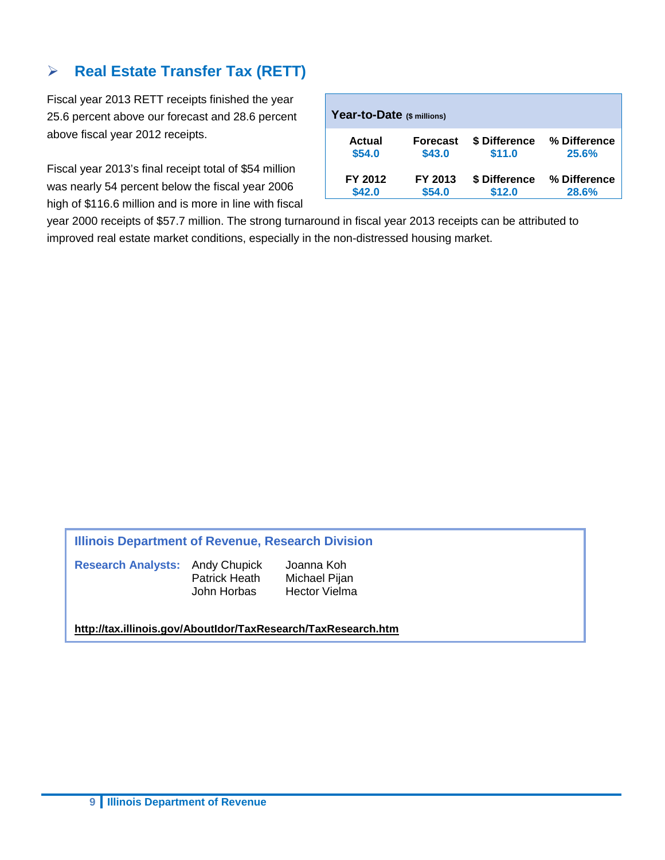## **Real Estate Transfer Tax (RETT)**

Fiscal year 2013 RETT receipts finished the year 25.6 percent above our forecast and 28.6 percent above fiscal year 2012 receipts.

Fiscal year 2013's final receipt total of \$54 million was nearly 54 percent below the fiscal year 2006 high of \$116.6 million and is more in line with fiscal

| Year-to-Date (\$ millions) |                 |               |              |  |  |  |  |  |
|----------------------------|-----------------|---------------|--------------|--|--|--|--|--|
| Actual                     | <b>Forecast</b> | \$ Difference | % Difference |  |  |  |  |  |
| \$54.0                     | \$43.0          | \$11.0        | 25.6%        |  |  |  |  |  |
| FY 2012                    | FY 2013         | \$ Difference | % Difference |  |  |  |  |  |
| \$42.0                     | \$54.0          | \$12.0        | 28.6%        |  |  |  |  |  |

year 2000 receipts of \$57.7 million. The strong turnaround in fiscal year 2013 receipts can be attributed to improved real estate market conditions, especially in the non-distressed housing market.

**Illinois Department of Revenue, Research Division** 

**Research Analysts:** Andy Chupick Joanna Koh

Patrick Heath Michael Pijan<br>John Horbas Hector Vielma

Hector Vielma

**<http://tax.illinois.gov/AboutIdor/TaxResearch/TaxResearch.htm>**